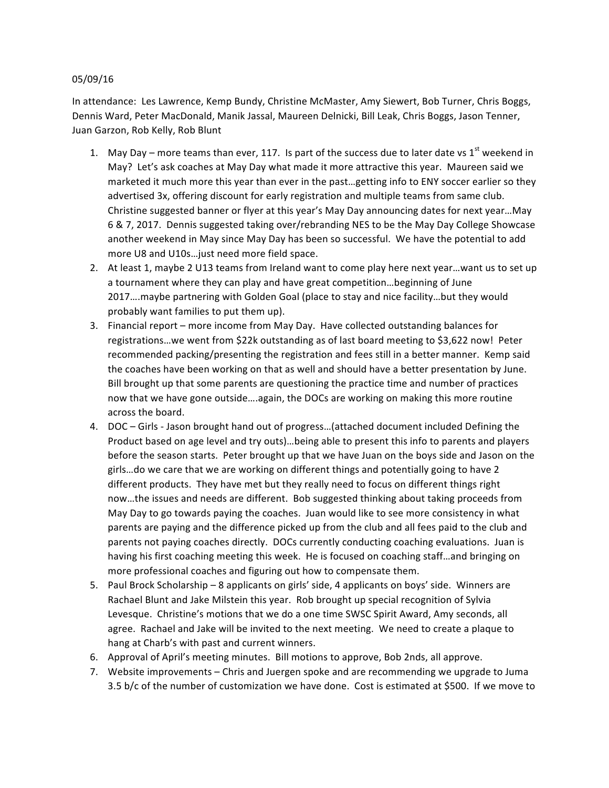## 05/09/16

In attendance: Les Lawrence, Kemp Bundy, Christine McMaster, Amy Siewert, Bob Turner, Chris Boggs, Dennis Ward, Peter MacDonald, Manik Jassal, Maureen Delnicki, Bill Leak, Chris Boggs, Jason Tenner, Juan Garzon, Rob Kelly, Rob Blunt

- 1. May Day more teams than ever, 117. Is part of the success due to later date vs  $1^{st}$  weekend in May? Let's ask coaches at May Day what made it more attractive this year. Maureen said we marketed it much more this year than ever in the past...getting info to ENY soccer earlier so they advertised 3x, offering discount for early registration and multiple teams from same club. Christine suggested banner or flyer at this year's May Day announcing dates for next year...May 6 & 7, 2017. Dennis suggested taking over/rebranding NES to be the May Day College Showcase another weekend in May since May Day has been so successful. We have the potential to add more U8 and U10s... just need more field space.
- 2. At least 1, maybe 2 U13 teams from Ireland want to come play here next year...want us to set up a tournament where they can play and have great competition...beginning of June 2017….maybe partnering with Golden Goal (place to stay and nice facility…but they would probably want families to put them up).
- 3. Financial report more income from May Day. Have collected outstanding balances for registrations...we went from \$22k outstanding as of last board meeting to \$3,622 now! Peter recommended packing/presenting the registration and fees still in a better manner. Kemp said the coaches have been working on that as well and should have a better presentation by June. Bill brought up that some parents are questioning the practice time and number of practices now that we have gone outside....again, the DOCs are working on making this more routine across the board.
- 4. DOC Girls Jason brought hand out of progress...(attached document included Defining the Product based on age level and try outs)...being able to present this info to parents and players before the season starts. Peter brought up that we have Juan on the boys side and Jason on the girls...do we care that we are working on different things and potentially going to have 2 different products. They have met but they really need to focus on different things right now...the issues and needs are different. Bob suggested thinking about taking proceeds from May Day to go towards paying the coaches. Juan would like to see more consistency in what parents are paying and the difference picked up from the club and all fees paid to the club and parents not paying coaches directly. DOCs currently conducting coaching evaluations. Juan is having his first coaching meeting this week. He is focused on coaching staff...and bringing on more professional coaches and figuring out how to compensate them.
- 5. Paul Brock Scholarship 8 applicants on girls' side, 4 applicants on boys' side. Winners are Rachael Blunt and Jake Milstein this year. Rob brought up special recognition of Sylvia Levesque. Christine's motions that we do a one time SWSC Spirit Award, Amy seconds, all agree. Rachael and Jake will be invited to the next meeting. We need to create a plaque to hang at Charb's with past and current winners.
- 6. Approval of April's meeting minutes. Bill motions to approve, Bob 2nds, all approve.
- 7. Website improvements Chris and Juergen spoke and are recommending we upgrade to Juma 3.5 b/c of the number of customization we have done. Cost is estimated at \$500. If we move to